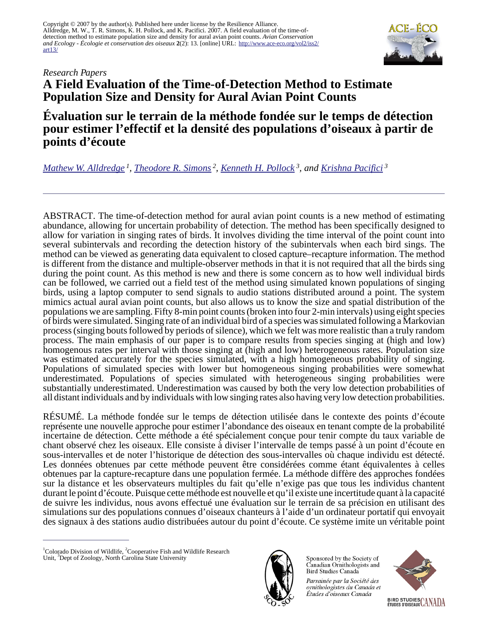

# *Research Papers* **A Field Evaluation of the Time-of-Detection Method to Estimate Population Size and Density for Aural Avian Point Counts**

**Évaluation sur le terrain de la méthode fondée sur le temps de détection pour estimer l'effectif et la densité des populations d'oiseaux à partir de points d'écoute**

*[Mathew W. Alldredge](mailto:mat.alldredge@state.co.us)<sup>1</sup> , [Theodore R. Simons](mailto:Tsimons@ncsu.edu)<sup>2</sup> , [Kenneth H. Pollock](mailto:pollock@unity.ncsu.edu)<sup>3</sup>, and [Krishna Pacifici](mailto:jkpacifi@unity.ncsu.edu)<sup>3</sup>*

ABSTRACT. The time-of-detection method for aural avian point counts is a new method of estimating abundance, allowing for uncertain probability of detection. The method has been specifically designed to allow for variation in singing rates of birds. It involves dividing the time interval of the point count into several subintervals and recording the detection history of the subintervals when each bird sings. The method can be viewed as generating data equivalent to closed capture–recapture information. The method is different from the distance and multiple-observer methods in that it is not required that all the birds sing during the point count. As this method is new and there is some concern as to how well individual birds can be followed, we carried out a field test of the method using simulated known populations of singing birds, using a laptop computer to send signals to audio stations distributed around a point. The system mimics actual aural avian point counts, but also allows us to know the size and spatial distribution of the populations we are sampling. Fifty 8-min point counts (broken into four 2-min intervals) using eight species of birds were simulated. Singing rate of an individual bird of a species was simulated following a Markovian process (singing bouts followed by periods of silence), which we felt was more realistic than a truly random process. The main emphasis of our paper is to compare results from species singing at (high and low) homogenous rates per interval with those singing at (high and low) heterogeneous rates. Population size was estimated accurately for the species simulated, with a high homogeneous probability of singing. Populations of simulated species with lower but homogeneous singing probabilities were somewhat underestimated. Populations of species simulated with heterogeneous singing probabilities were substantially underestimated. Underestimation was caused by both the very low detection probabilities of all distant individuals and by individuals with low singing rates also having very low detection probabilities.

RÉSUMÉ. La méthode fondée sur le temps de détection utilisée dans le contexte des points d'écoute représente une nouvelle approche pour estimer l'abondance des oiseaux en tenant compte de la probabilité incertaine de détection. Cette méthode a été spécialement conçue pour tenir compte du taux variable de chant observé chez les oiseaux. Elle consiste à diviser l'intervalle de temps passé à un point d'écoute en sous-intervalles et de noter l'historique de détection des sous-intervalles où chaque individu est détecté. Les données obtenues par cette méthode peuvent être considérées comme étant équivalentes à celles obtenues par la capture-recapture dans une population fermée. La méthode diffère des approches fondées sur la distance et les observateurs multiples du fait qu'elle n'exige pas que tous les individus chantent durant le point d'écoute. Puisque cette méthode est nouvelle et qu'il existe une incertitude quant à la capacité de suivre les individus, nous avons effectué une évaluation sur le terrain de sa précision en utilisant des simulations sur des populations connues d'oiseaux chanteurs à l'aide d'un ordinateur portatif qui envoyait des signaux à des stations audio distribuées autour du point d'écoute. Ce système imite un véritable point

 $1$ Colorado Division of Wildlife,  $2$ Cooperative Fish and Wildlife Research Unit, <sup>3</sup>Dept of Zoology, North Carolina State University



Sponsored by the Society of Canadian Ornithologists and Bird Studies Canada

Parrainée par la Société des ornithologistes du Canada et Études d'oiseaux Canada

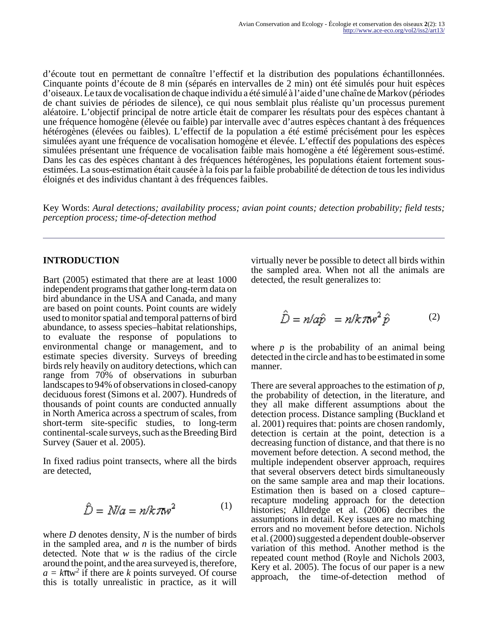d'écoute tout en permettant de connaître l'effectif et la distribution des populations échantillonnées. Cinquante points d'écoute de 8 min (séparés en intervalles de 2 min) ont été simulés pour huit espèces d'oiseaux. Le taux de vocalisation de chaque individu a été simulé à l'aide d'une chaîne de Markov (périodes de chant suivies de périodes de silence), ce qui nous semblait plus réaliste qu'un processus purement aléatoire. L'objectif principal de notre article était de comparer les résultats pour des espèces chantant à une fréquence homogène (élevée ou faible) par intervalle avec d'autres espèces chantant à des fréquences hétérogènes (élevées ou faibles). L'effectif de la population a été estimé précisément pour les espèces simulées ayant une fréquence de vocalisation homogène et élevée. L'effectif des populations des espèces simulées présentant une fréquence de vocalisation faible mais homogène a été légèrement sous-estimé. Dans les cas des espèces chantant à des fréquences hétérogènes, les populations étaient fortement sousestimées. La sous-estimation était causée à la fois par la faible probabilité de détection de tous les individus éloignés et des individus chantant à des fréquences faibles.

Key Words: *Aural detections; availability process; avian point counts; detection probability; field tests; perception process; time-of-detection method*

### **INTRODUCTION**

Bart (2005) estimated that there are at least 1000 independent programs that gather long-term data on bird abundance in the USA and Canada, and many are based on point counts. Point counts are widely used to monitor spatial and temporal patterns of bird abundance, to assess species–habitat relationships, to evaluate the response of populations to environmental change or management, and to estimate species diversity. Surveys of breeding birds rely heavily on auditory detections, which can range from 70% of observations in suburban landscapes to 94% of observations in closed-canopy deciduous forest (Simons et al. 2007). Hundreds of thousands of point counts are conducted annually in North America across a spectrum of scales, from short-term site-specific studies, to long-term continental-scale surveys, such as the Breeding Bird Survey (Sauer et al. 2005).

In fixed radius point transects, where all the birds are detected,

$$
\hat{D} = N/a = n/k \pi w^2 \tag{1}
$$

where *D* denotes density, *N* is the number of birds in the sampled area, and *n* is the number of birds detected. Note that *w* is the radius of the circle around the point, and the area surveyed is, therefore,  $a = k\pi w^2$  if there are *k* points surveyed. Of course this is totally unrealistic in practice, as it will

virtually never be possible to detect all birds within the sampled area. When not all the animals are detected, the result generalizes to:

$$
\hat{D} = n/a\hat{p} = n/k\pi w^2 \hat{p} \tag{2}
$$

where  $p$  is the probability of an animal being detected in the circle and has to be estimated in some manner.

There are several approaches to the estimation of *p*, the probability of detection, in the literature, and they all make different assumptions about the detection process. Distance sampling (Buckland et al. 2001) requires that: points are chosen randomly, detection is certain at the point, detection is a decreasing function of distance, and that there is no movement before detection. A second method, the multiple independent observer approach, requires that several observers detect birds simultaneously on the same sample area and map their locations. Estimation then is based on a closed capture– recapture modeling approach for the detection histories; Alldredge et al. (2006) decribes the assumptions in detail. Key issues are no matching errors and no movement before detection. Nichols et al. (2000) suggested a dependent double-observer variation of this method. Another method is the repeated count method (Royle and Nichols 2003, Kery et al. 2005). The focus of our paper is a new approach, the time-of-detection method of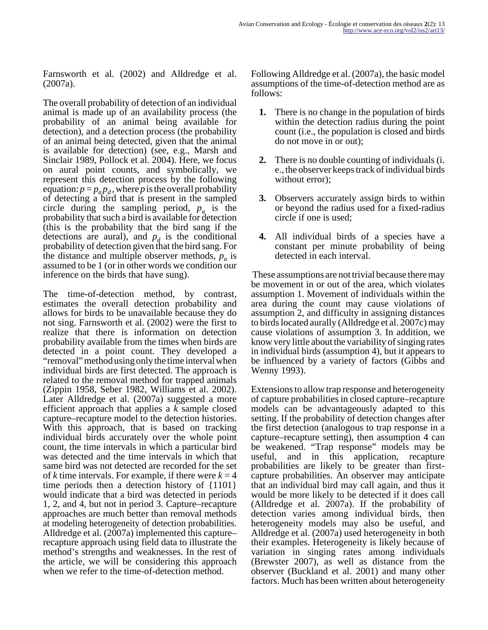Farnsworth et al. (2002) and Alldredge et al. (2007a).

The overall probability of detection of an individual animal is made up of an availability process (the probability of an animal being available for detection), and a detection process (the probability of an animal being detected, given that the animal is available for detection) (see, e.g., Marsh and Sinclair 1989, Pollock et al. 2004). Here, we focus on aural point counts, and symbolically, we represent this detection process by the following equation:  $p = p_a p_d$ , where *p* is the overall probability of detecting a bird that is present in the sampled circle during the sampling period,  $p_a$  is the probability that such a bird is available for detection (this is the probability that the bird sang if the detections are aural), and  $p_d$  is the conditional probability of detection given that the bird sang. For the distance and multiple observer methods,  $p_a$  is assumed to be 1 (or in other words we condition our inference on the birds that have sung).

The time-of-detection method, by contrast, estimates the overall detection probability and allows for birds to be unavailable because they do not sing. Farnsworth et al. (2002) were the first to realize that there is information on detection probability available from the times when birds are detected in a point count. They developed a "removal" method using only the time interval when individual birds are first detected. The approach is related to the removal method for trapped animals (Zippin 1958, Seber 1982, Williams et al. 2002). Later Alldredge et al. (2007a) suggested a more efficient approach that applies a *k* sample closed capture–recapture model to the detection histories. With this approach, that is based on tracking individual birds accurately over the whole point count, the time intervals in which a particular bird was detected and the time intervals in which that same bird was not detected are recorded for the set of *k* time intervals. For example, if there were  $k = 4$ time periods then a detection history of {1101} would indicate that a bird was detected in periods 1, 2, and 4, but not in period 3. Capture–recapture approaches are much better than removal methods at modeling heterogeneity of detection probabilities. Alldredge et al. (2007a) implemented this capture– recapture approach using field data to illustrate the method's strengths and weaknesses. In the rest of the article, we will be considering this approach when we refer to the time-of-detection method.

Following Alldredge et al. (2007a), the basic model assumptions of the time-of-detection method are as follows:

- **1.** There is no change in the population of birds within the detection radius during the point count (i.e., the population is closed and birds do not move in or out);
- **2.** There is no double counting of individuals (i. e., the observer keeps track of individual birds without error);
- **3.** Observers accurately assign birds to within or beyond the radius used for a fixed-radius circle if one is used;
- **4.** All individual birds of a species have a constant per minute probability of being detected in each interval.

 These assumptions are not trivial because there may be movement in or out of the area, which violates assumption 1. Movement of individuals within the area during the count may cause violations of assumption 2, and difficulty in assigning distances to birds located aurally (Alldredge et al. 2007c) may cause violations of assumption 3. In addition, we know very little about the variability of singing rates in individual birds (assumption 4), but it appears to be influenced by a variety of factors (Gibbs and Wenny 1993).

Extensions to allow trap response and heterogeneity of capture probabilities in closed capture–recapture models can be advantageously adapted to this setting. If the probability of detection changes after the first detection (analogous to trap response in a capture–recapture setting), then assumption 4 can be weakened. "Trap response" models may be useful, and in this application, recapture probabilities are likely to be greater than firstcapture probabilities. An observer may anticipate that an individual bird may call again, and thus it would be more likely to be detected if it does call (Alldredge et al. 2007a). If the probability of detection varies among individual birds, then heterogeneity models may also be useful, and Alldredge et al. (2007a) used heterogeneity in both their examples. Heterogeneity is likely because of variation in singing rates among individuals (Brewster 2007), as well as distance from the observer (Buckland et al. 2001) and many other factors. Much has been written about heterogeneity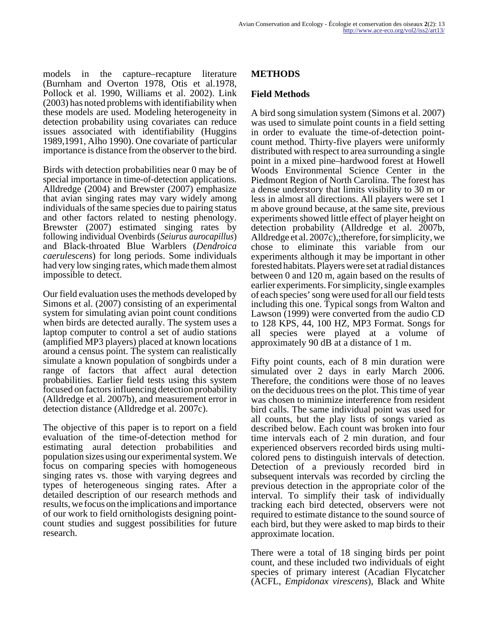models in the capture–recapture literature (Burnham and Overton 1978, Otis et al.1978, Pollock et al. 1990, Williams et al. 2002). Link (2003) has noted problems with identifiability when these models are used. Modeling heterogeneity in detection probability using covariates can reduce issues associated with identifiability (Huggins 1989,1991, Alho 1990). One covariate of particular importance is distance from the observer to the bird.

Birds with detection probabilities near 0 may be of special importance in time-of-detection applications. Alldredge (2004) and Brewster (2007) emphasize that avian singing rates may vary widely among individuals of the same species due to pairing status and other factors related to nesting phenology. Brewster (2007) estimated singing rates by following individual Ovenbirds (*Seiurus aurocapillus*) and Black-throated Blue Warblers (*Dendroica caerulescens*) for long periods. Some individuals had very low singing rates, which made them almost impossible to detect.

Our field evaluation uses the methods developed by Simons et al. (2007) consisting of an experimental system for simulating avian point count conditions when birds are detected aurally. The system uses a laptop computer to control a set of audio stations (amplified MP3 players) placed at known locations around a census point. The system can realistically simulate a known population of songbirds under a range of factors that affect aural detection probabilities. Earlier field tests using this system focused on factors influencing detection probability (Alldredge et al. 2007b), and measurement error in detection distance (Alldredge et al. 2007c).

The objective of this paper is to report on a field evaluation of the time-of-detection method for estimating aural detection probabilities and population sizes using our experimental system. We focus on comparing species with homogeneous singing rates vs. those with varying degrees and types of heterogeneous singing rates. After a detailed description of our research methods and results, we focus on the implications and importance of our work to field ornithologists designing pointcount studies and suggest possibilities for future research.

# **METHODS**

### **Field Methods**

A bird song simulation system (Simons et al. 2007) was used to simulate point counts in a field setting in order to evaluate the time-of-detection pointcount method. Thirty-five players were uniformly distributed with respect to area surrounding a single point in a mixed pine–hardwood forest at Howell Woods Environmental Science Center in the Piedmont Region of North Carolina. The forest has a dense understory that limits visibility to 30 m or less in almost all directions. All players were set 1 m above ground because, at the same site, previous experiments showed little effect of player height on detection probability (Alldredge et al. 2007b, Alldredge et al. 2007c),;therefore, for simplicity, we chose to eliminate this variable from our experiments although it may be important in other forested habitats. Players were set at radial distances between 0 and 120 m, again based on the results of earlier experiments. For simplicity, single examples of each species' song were used for all our field tests including this one. Typical songs from Walton and Lawson (1999) were converted from the audio CD to 128 KPS, 44, 100 HZ, MP3 Format. Songs for all species were played at a volume of approximately 90 dB at a distance of 1 m.

Fifty point counts, each of 8 min duration were simulated over 2 days in early March 2006. Therefore, the conditions were those of no leaves on the deciduous trees on the plot. This time of year was chosen to minimize interference from resident bird calls. The same individual point was used for all counts, but the play lists of songs varied as described below. Each count was broken into four time intervals each of 2 min duration, and four experienced observers recorded birds using multicolored pens to distinguish intervals of detection. Detection of a previously recorded bird in subsequent intervals was recorded by circling the previous detection in the appropriate color of the interval. To simplify their task of individually tracking each bird detected, observers were not required to estimate distance to the sound source of each bird, but they were asked to map birds to their approximate location.

There were a total of 18 singing birds per point count, and these included two individuals of eight species of primary interest (Acadian Flycatcher (ACFL, *Empidonax virescens*), Black and White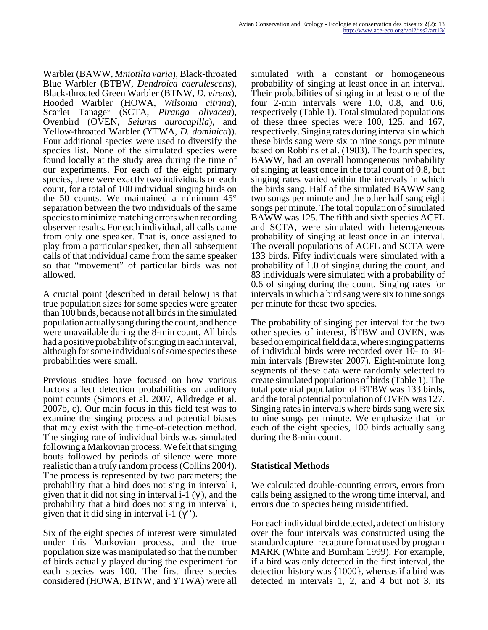Warbler (BAWW, *Mniotilta varia*), Black-throated Blue Warbler (BTBW, *Dendroica caerulescens*), Black-throated Green Warbler (BTNW, *D. virens*), Hooded Warbler (HOWA, *Wilsonia citrina*), Scarlet Tanager (SCTA, *Piranga olivacea*), Ovenbird (OVEN, *Seiurus aurocapilla*), and Yellow-throated Warbler (YTWA, *D. dominica*)). Four additional species were used to diversify the species list. None of the simulated species were found locally at the study area during the time of our experiments. For each of the eight primary species, there were exactly two individuals on each count, for a total of 100 individual singing birds on the 50 counts. We maintained a minimum 45° separation between the two individuals of the same species to minimize matching errors when recording observer results. For each individual, all calls came from only one speaker. That is, once assigned to play from a particular speaker, then all subsequent calls of that individual came from the same speaker so that "movement" of particular birds was not allowed.

A crucial point (described in detail below) is that true population sizes for some species were greater than 100 birds, because not all birds in the simulated population actually sang during the count, and hence were unavailable during the 8-min count. All birds had a positive probability of singing in each interval, although for some individuals of some species these probabilities were small.

Previous studies have focused on how various factors affect detection probabilities on auditory point counts (Simons et al. 2007, Alldredge et al. 2007b, c). Our main focus in this field test was to examine the singing process and potential biases that may exist with the time-of-detection method. The singing rate of individual birds was simulated following a Markovian process. We felt that singing bouts followed by periods of silence were more realistic than a truly random process (Collins 2004). The process is represented by two parameters; the probability that a bird does not sing in interval i, given that it did not sing in interval  $i-1$  ( $\gamma$ ), and the probability that a bird does not sing in interval i, given that it did sing in interval i-1  $(\gamma')$ .

Six of the eight species of interest were simulated under this Markovian process, and the true population size was manipulated so that the number of birds actually played during the experiment for each species was 100. The first three species considered (HOWA, BTNW, and YTWA) were all

simulated with a constant or homogeneous probability of singing at least once in an interval. Their probabilities of singing in at least one of the four 2-min intervals were 1.0, 0.8, and 0.6, respectively (Table 1). Total simulated populations of these three species were 100, 125, and 167, respectively. Singing rates during intervals in which these birds sang were six to nine songs per minute based on Robbins et al. (1983). The fourth species, BAWW, had an overall homogeneous probability of singing at least once in the total count of 0.8, but singing rates varied within the intervals in which the birds sang. Half of the simulated BAWW sang two songs per minute and the other half sang eight songs per minute. The total population of simulated BAWW was 125. The fifth and sixth species ACFL and SCTA, were simulated with heterogeneous probability of singing at least once in an interval. The overall populations of ACFL and SCTA were 133 birds. Fifty individuals were simulated with a probability of 1.0 of singing during the count, and 83 individuals were simulated with a probability of 0.6 of singing during the count. Singing rates for intervals in which a bird sang were six to nine songs per minute for these two species.

The probability of singing per interval for the two other species of interest, BTBW and OVEN, was based on empirical field data, where singing patterns of individual birds were recorded over 10- to 30 min intervals (Brewster 2007). Eight-minute long segments of these data were randomly selected to create simulated populations of birds (Table 1). The total potential population of BTBW was 133 birds, and the total potential population of OVEN was 127. Singing rates in intervals where birds sang were six to nine songs per minute. We emphasize that for each of the eight species, 100 birds actually sang during the 8-min count.

### **Statistical Methods**

We calculated double-counting errors, errors from calls being assigned to the wrong time interval, and errors due to species being misidentified.

For each individual bird detected, a detection history over the four intervals was constructed using the standard capture–recapture format used by program MARK (White and Burnham 1999). For example, if a bird was only detected in the first interval, the detection history was {1000}, whereas if a bird was detected in intervals 1, 2, and 4 but not 3, its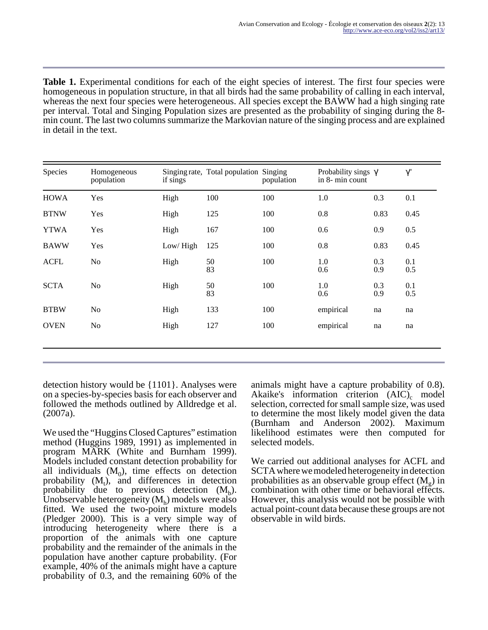Table 1. Experimental conditions for each of the eight species of interest. The first four species were homogeneous in population structure, in that all birds had the same probability of calling in each interval, whereas the next four species were heterogeneous. All species except the BAWW had a high singing rate per interval. Total and Singing Population sizes are presented as the probability of singing during the 8 min count. The last two columns summarize the Markovian nature of the singing process and are explained in detail in the text.

| Species     | Homogeneous<br>population | if sings | Singing rate, Total population Singing | population | Probability sings $\gamma$<br>in 8- min count |            | $\gamma^{\prime}$ |
|-------------|---------------------------|----------|----------------------------------------|------------|-----------------------------------------------|------------|-------------------|
| <b>HOWA</b> | Yes                       | High     | 100                                    | 100        | 1.0                                           | 0.3        | 0.1               |
| <b>BTNW</b> | Yes                       | High     | 125                                    | 100        | 0.8                                           | 0.83       | 0.45              |
| <b>YTWA</b> | Yes                       | High     | 167                                    | 100        | 0.6                                           | 0.9        | 0.5               |
| <b>BAWW</b> | Yes                       | Low/High | 125                                    | 100        | 0.8                                           | 0.83       | 0.45              |
| <b>ACFL</b> | N <sub>o</sub>            | High     | 50<br>83                               | 100        | 1.0<br>0.6                                    | 0.3<br>0.9 | 0.1<br>0.5        |
| <b>SCTA</b> | No                        | High     | 50<br>83                               | 100        | 1.0<br>0.6                                    | 0.3<br>0.9 | 0.1<br>0.5        |
| <b>BTBW</b> | No                        | High     | 133                                    | 100        | empirical                                     | na         | na                |
| <b>OVEN</b> | N <sub>o</sub>            | High     | 127                                    | 100        | empirical                                     | na         | na                |
|             |                           |          |                                        |            |                                               |            |                   |

detection history would be {1101}. Analyses were on a species-by-species basis for each observer and followed the methods outlined by Alldredge et al. (2007a).

We used the "Huggins Closed Captures" estimation method (Huggins 1989, 1991) as implemented in program MARK (White and Burnham 1999). Models included constant detection probability for all individuals  $(M_0)$ , time effects on detection probability  $(M_t)$ , and differences in detection probability due to previous detection  $(M_b)$ . Unobservable heterogeneity  $(M_h)$  models were also fitted. We used the two-point mixture models (Pledger 2000). This is a very simple way of introducing heterogeneity where there is a proportion of the animals with one capture probability and the remainder of the animals in the population have another capture probability. (For example, 40% of the animals might have a capture probability of 0.3, and the remaining 60% of the animals might have a capture probability of 0.8).  $Akaike's$  information criterion  $(AIC)_c$  model selection, corrected for small sample size, was used to determine the most likely model given the data (Burnham and Anderson 2002). Maximum likelihood estimates were then computed for selected models.

We carried out additional analyses for ACFL and SCTA where we modeled heterogeneity in detection probabilities as an observable group effect  $(M_g)$  in combination with other time or behavioral effects. However, this analysis would not be possible with actual point-count data because these groups are not observable in wild birds.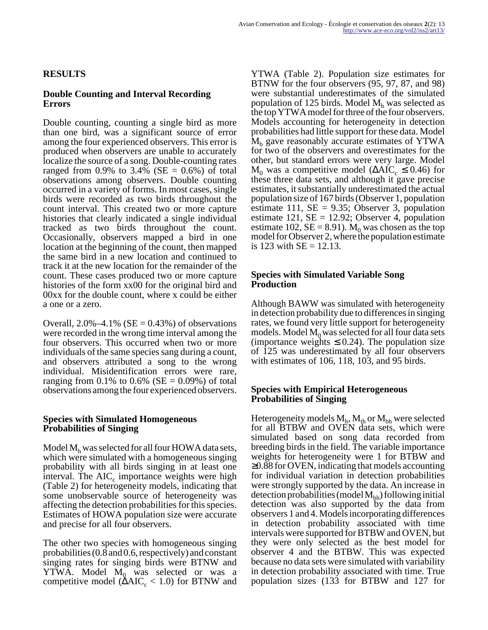# **RESULTS**

#### **Double Counting and Interval Recording Errors**

Double counting, counting a single bird as more than one bird, was a significant source of error among the four experienced observers. This error is produced when observers are unable to accurately localize the source of a song. Double-counting rates ranged from 0.9% to 3.4% ( $SE = 0.6\%$ ) of total observations among observers. Double counting occurred in a variety of forms. In most cases, single birds were recorded as two birds throughout the count interval. This created two or more capture histories that clearly indicated a single individual tracked as two birds throughout the count. Occasionally, observers mapped a bird in one location at the beginning of the count, then mapped the same bird in a new location and continued to track it at the new location for the remainder of the count. These cases produced two or more capture histories of the form xx00 for the original bird and 00xx for the double count, where x could be either a one or a zero.

Overall,  $2.0\% -4.1\%$  (SE = 0.43%) of observations were recorded in the wrong time interval among the four observers. This occurred when two or more individuals of the same species sang during a count, and observers attributed a song to the wrong individual. Misidentification errors were rare, ranging from 0.1% to 0.6% ( $SE = 0.09$ %) of total observations among the four experienced observers.

#### **Species with Simulated Homogeneous Probabilities of Singing**

Model  $M<sub>h</sub>$  was selected for all four HOWA data sets, which were simulated with a homogeneous singing probability with all birds singing in at least one  $interval$ . The AIC<sub>c</sub> importance weights were high (Table 2) for heterogeneity models, indicating that some unobservable source of heterogeneity was affecting the detection probabilities for this species. Estimates of HOWA population size were accurate and precise for all four observers.

The other two species with homogeneous singing probabilities (0.8 and 0.6, respectively) and constant singing rates for singing birds were BTNW and  $YTWA$ . Model  $M_0$  was selected or was a competitive model ( $\triangle AIC_c < 1.0$ ) for BTNW and

YTWA (Table 2). Population size estimates for BTNW for the four observers (95, 97, 87, and 98) were substantial underestimates of the simulated population of 125 birds. Model  $M_b$  was selected as the top YTWA model for three of the four observers. Models accounting for heterogeneity in detection probabilities had little support for these data. Model  $\rm M_b$  gave reasonably accurate estimates of YTWA for two of the observers and overestimates for the other, but standard errors were very large. Model  $M_0$  was a competitive model (ΔAIC<sub>c</sub> ≤ 0.46) for these three data sets, and although it gave precise estimates, it substantially underestimated the actual population size of 167 birds (Observer 1, population estimate 111,  $SE = 9.35$ ; Observer 3, population estimate 121,  $SE = 12.92$ ; Observer 4, population estimate 102,  $SE = 8.91$ ).  $M_0$  was chosen as the top model for Observer 2, where the population estimate is 123 with  $SE = 12.13$ .

#### **Species with Simulated Variable Song Production**

Although BAWW was simulated with heterogeneity in detection probability due to differences in singing rates, we found very little support for heterogeneity models. Model  $M_0$  was selected for all four data sets (importance weights  $\leq 0.24$ ). The population size of 125 was underestimated by all four observers with estimates of 106, 118, 103, and 95 birds.

#### **Species with Empirical Heterogeneous Probabilities of Singing**

Heterogeneity models  $M_h$ ,  $M_{th}$  or  $M_{bh}$  were selected for all BTBW and OVEN data sets, which were simulated based on song data recorded from breeding birds in the field. The variable importance weights for heterogeneity were 1 for BTBW and ≥0.88 for OVEN, indicating that models accounting for individual variation in detection probabilities were strongly supported by the data. An increase in detection probabilities (model  $M_{bh}$ ) following initial detection was also supported by the data from observers 1 and 4. Models incorporating differences in detection probability associated with time intervals were supported for BTBW and OVEN, but they were only selected as the best model for observer 4 and the BTBW. This was expected because no data sets were simulated with variability in detection probability associated with time. True population sizes (133 for BTBW and 127 for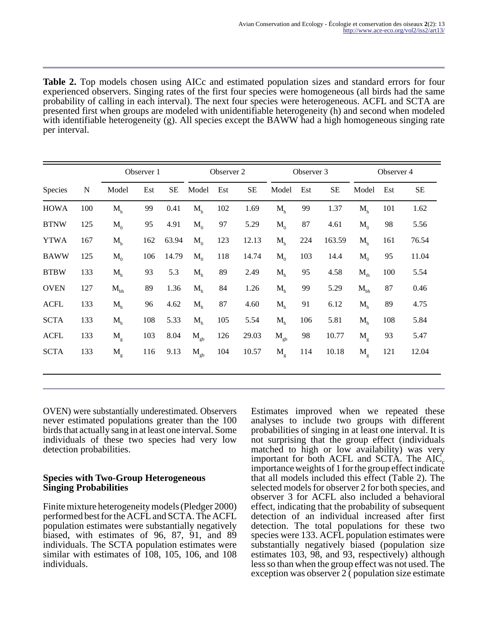**Table 2.** Top models chosen using AICc and estimated population sizes and standard errors for four experienced observers. Singing rates of the first four species were homogeneous (all birds had the same probability of calling in each interval). The next four species were heterogeneous. ACFL and SCTA are presented first when groups are modeled with unidentifiable heterogeneity (h) and second when modeled with identifiable heterogeneity (g). All species except the BAWW had a high homogeneous singing rate per interval.

| Species     | N   | Observer 1  |     | Observer 2 |                | Observer 3 |          |                 | Observer 4 |           |             |     |           |
|-------------|-----|-------------|-----|------------|----------------|------------|----------|-----------------|------------|-----------|-------------|-----|-----------|
|             |     | Model       | Est | <b>SE</b>  | Model          | Est        | $\rm SE$ | Model           | Est        | <b>SE</b> | Model       | Est | <b>SE</b> |
| <b>HOWA</b> | 100 | $M_h$       | 99  | 0.41       | M <sub>h</sub> | 102        | 1.69     | $M_h$           | 99         | 1.37      | $M_{h}$     | 101 | 1.62      |
| <b>BTNW</b> | 125 | $M_0$       | 95  | 4.91       | $M_0$          | 97         | 5.29     | $M_0$           | 87         | 4.61      | $M_0$       | 98  | 5.56      |
| <b>YTWA</b> | 167 | $M_h$       | 162 | 63.94      | $M_0$          | 123        | 12.13    | $M_{h}$         | 224        | 163.59    | $M_{h}$     | 161 | 76.54     |
| <b>BAWW</b> | 125 | $M_0$       | 106 | 14.79      | $M_0$          | 118        | 14.74    | $M_0$           | 103        | 14.4      | $M_0$       | 95  | 11.04     |
| <b>BTBW</b> | 133 | $M_h$       | 93  | 5.3        | $M_h$          | 89         | 2.49     | $M_h$           | 95         | 4.58      | $M_{th}$    | 100 | 5.54      |
| <b>OVEN</b> | 127 | $M_{bh}$    | 89  | 1.36       | M <sub>h</sub> | 84         | 1.26     | $M_h$           | 99         | 5.29      | $M_{bh}$    | 87  | 0.46      |
| <b>ACFL</b> | 133 | $M_h$       | 96  | 4.62       | M <sub>h</sub> | 87         | 4.60     | $M_h$           | 91         | 6.12      | $M_{h}$     | 89  | 4.75      |
| <b>SCTA</b> | 133 | $M_h$       | 108 | 5.33       | M <sub>h</sub> | 105        | 5.54     | $M_h$           | 106        | 5.81      | $M_h$       | 108 | 5.84      |
| <b>ACFL</b> | 133 | $M_{\rm g}$ | 103 | 8.04       | $M_{gb}$       | 126        | 29.03    | $M_{\text{gb}}$ | 98         | 10.77     | $M_{\rm g}$ | 93  | 5.47      |
| <b>SCTA</b> | 133 | $M_{\rm g}$ | 116 | 9.13       | $M_{gb}$       | 104        | 10.57    | $M_{\rm g}$     | 114        | 10.18     | $M_{\rm g}$ | 121 | 12.04     |
|             |     |             |     |            |                |            |          |                 |            |           |             |     |           |

OVEN) were substantially underestimated. Observers never estimated populations greater than the 100 birds that actually sang in at least one interval. Some individuals of these two species had very low detection probabilities.

#### **Species with Two-Group Heterogeneous Singing Probabilities**

Finite mixture heterogeneity models (Pledger 2000) performed best for the ACFL and SCTA. The ACFL population estimates were substantially negatively biased, with estimates of 96, 87, 91, and 89 individuals. The SCTA population estimates were similar with estimates of 108, 105, 106, and 108 individuals.

Estimates improved when we repeated these analyses to include two groups with different probabilities of singing in at least one interval. It is not surprising that the group effect (individuals matched to high or low availability) was very important for both ACFL and SCTA. The  $AIC_c$ importance weights of 1 for the group effect indicate that all models included this effect (Table 2). The selected models for observer 2 for both species, and observer 3 for ACFL also included a behavioral effect, indicating that the probability of subsequent detection of an individual increased after first detection. The total populations for these two species were 133. ACFL population estimates were substantially negatively biased (population size estimates 103, 98, and 93, respectively) although less so than when the group effect was not used. The exception was observer 2 ( population size estimate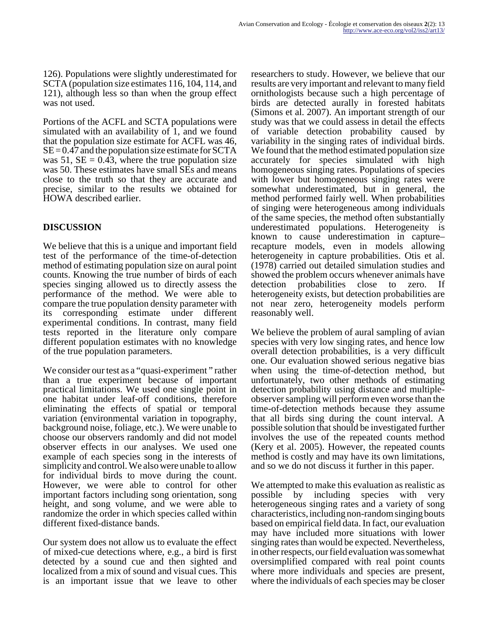126). Populations were slightly underestimated for SCTA (population size estimates 116, 104, 114, and 121), although less so than when the group effect was not used.

Portions of the ACFL and SCTA populations were simulated with an availability of 1, and we found that the population size estimate for ACFL was 46,  $SE = 0.47$  and the population size estimate for SCTA was  $51$ ,  $SE = 0.43$ , where the true population size was 50. These estimates have small SEs and means close to the truth so that they are accurate and precise, similar to the results we obtained for HOWA described earlier.

# **DISCUSSION**

We believe that this is a unique and important field test of the performance of the time-of-detection method of estimating population size on aural point counts. Knowing the true number of birds of each species singing allowed us to directly assess the performance of the method. We were able to compare the true population density parameter with its corresponding estimate under different experimental conditions. In contrast, many field tests reported in the literature only compare different population estimates with no knowledge of the true population parameters.

We consider our test as a "quasi-experiment" rather than a true experiment because of important practical limitations. We used one single point in one habitat under leaf-off conditions, therefore eliminating the effects of spatial or temporal variation (environmental variation in topography, background noise, foliage, etc.). We were unable to choose our observers randomly and did not model observer effects in our analyses. We used one example of each species song in the interests of simplicity and control. We also were unable to allow for individual birds to move during the count. However, we were able to control for other important factors including song orientation, song height, and song volume, and we were able to randomize the order in which species called within different fixed-distance bands.

Our system does not allow us to evaluate the effect of mixed-cue detections where, e.g., a bird is first detected by a sound cue and then sighted and localized from a mix of sound and visual cues. This is an important issue that we leave to other

researchers to study. However, we believe that our results are very important and relevant to many field ornithologists because such a high percentage of birds are detected aurally in forested habitats (Simons et al. 2007). An important strength of our study was that we could assess in detail the effects of variable detection probability caused by variability in the singing rates of individual birds. We found that the method estimated population size accurately for species simulated with high homogeneous singing rates. Populations of species with lower but homogeneous singing rates were somewhat underestimated, but in general, the method performed fairly well. When probabilities of singing were heterogeneous among individuals of the same species, the method often substantially underestimated populations. Heterogeneity is known to cause underestimation in capture– recapture models, even in models allowing heterogeneity in capture probabilities. Otis et al. (1978) carried out detailed simulation studies and showed the problem occurs whenever animals have detection probabilities close to zero. If heterogeneity exists, but detection probabilities are not near zero, heterogeneity models perform reasonably well.

We believe the problem of aural sampling of avian species with very low singing rates, and hence low overall detection probabilities, is a very difficult one. Our evaluation showed serious negative bias when using the time-of-detection method, but unfortunately, two other methods of estimating detection probability using distance and multipleobserver sampling will perform even worse than the time-of-detection methods because they assume that all birds sing during the count interval. A possible solution that should be investigated further involves the use of the repeated counts method (Kery et al. 2005). However, the repeated counts method is costly and may have its own limitations, and so we do not discuss it further in this paper.

We attempted to make this evaluation as realistic as possible by including species with very heterogeneous singing rates and a variety of song characteristics, including non-random singing bouts based on empirical field data. In fact, our evaluation may have included more situations with lower singing rates than would be expected. Nevertheless, in other respects, our field evaluation was somewhat oversimplified compared with real point counts where more individuals and species are present, where the individuals of each species may be closer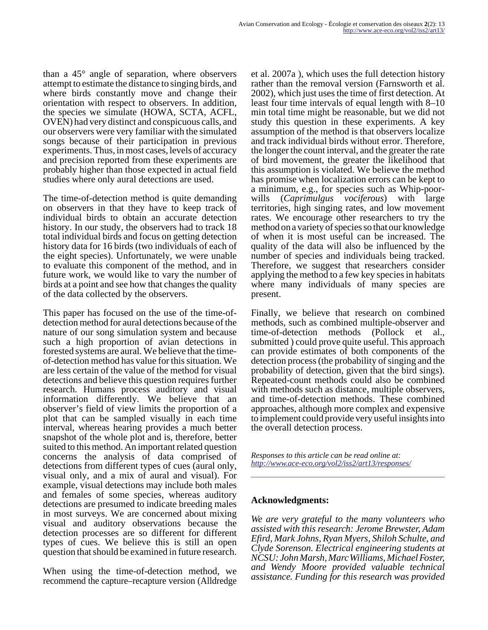than a 45° angle of separation, where observers attempt to estimate the distance to singing birds, and where birds constantly move and change their orientation with respect to observers. In addition, the species we simulate (HOWA, SCTA, ACFL, OVEN) had very distinct and conspicuous calls, and our observers were very familiar with the simulated songs because of their participation in previous experiments. Thus, in most cases, levels of accuracy and precision reported from these experiments are probably higher than those expected in actual field studies where only aural detections are used.

The time-of-detection method is quite demanding on observers in that they have to keep track of individual birds to obtain an accurate detection history. In our study, the observers had to track 18 total individual birds and focus on getting detection history data for 16 birds (two individuals of each of the eight species). Unfortunately, we were unable to evaluate this component of the method, and in future work, we would like to vary the number of birds at a point and see how that changes the quality of the data collected by the observers.

This paper has focused on the use of the time-ofdetection method for aural detections because of the nature of our song simulation system and because such a high proportion of avian detections in forested systems are aural. We believe that the timeof-detection method has value for this situation. We are less certain of the value of the method for visual detections and believe this question requires further research. Humans process auditory and visual information differently. We believe that an observer's field of view limits the proportion of a plot that can be sampled visually in each time interval, whereas hearing provides a much better snapshot of the whole plot and is, therefore, better suited to this method. An important related question concerns the analysis of data comprised of detections from different types of cues (aural only, visual only, and a mix of aural and visual). For example, visual detections may include both males and females of some species, whereas auditory detections are presumed to indicate breeding males in most surveys. We are concerned about mixing visual and auditory observations because the detection processes are so different for different types of cues. We believe this is still an open question that should be examined in future research.

When using the time-of-detection method, we recommend the capture–recapture version (Alldredge

et al. 2007a ), which uses the full detection history rather than the removal version (Farnsworth et al. 2002), which just uses the time of first detection. At least four time intervals of equal length with 8–10 min total time might be reasonable, but we did not study this question in these experiments. A key assumption of the method is that observers localize and track individual birds without error. Therefore, the longer the count interval, and the greater the rate of bird movement, the greater the likelihood that this assumption is violated. We believe the method has promise when localization errors can be kept to a minimum, e.g., for species such as Whip-poorwills (*Caprimulgus vociferous*) with large territories, high singing rates, and low movement rates. We encourage other researchers to try the method on a variety of species so that our knowledge of when it is most useful can be increased. The quality of the data will also be influenced by the number of species and individuals being tracked. Therefore, we suggest that researchers consider applying the method to a few key species in habitats where many individuals of many species are present.

Finally, we believe that research on combined methods, such as combined multiple-observer and time-of-detection methods (Pollock et al., submitted ) could prove quite useful. This approach can provide estimates of both components of the detection process (the probability of singing and the probability of detection, given that the bird sings). Repeated-count methods could also be combined with methods such as distance, multiple observers, and time-of-detection methods. These combined approaches, although more complex and expensive to implement could provide very useful insights into the overall detection process.

*Responses to this article can be read online at: <http://www.ace-eco.org/vol2/iss2/art13/responses/>*

#### **Acknowledgments:**

*We are very grateful to the many volunteers who assisted with this research: Jerome Brewster, Adam Efird, Mark Johns, Ryan Myers, Shiloh Schulte, and Clyde Sorenson. Electrical engineering students at NCSU: John Marsh, Marc Williams, Michael Foster, and Wendy Moore provided valuable technical assistance. Funding for this research was provided*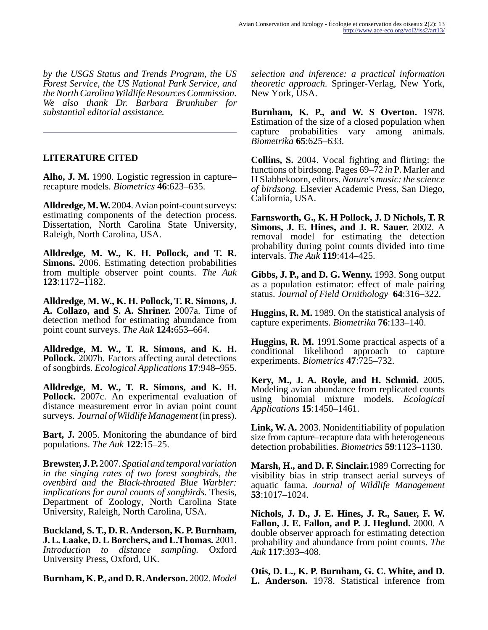*by the USGS Status and Trends Program, the US Forest Service, the US National Park Service, and the North Carolina Wildlife Resources Commission. We also thank Dr. Barbara Brunhuber for substantial editorial assistance.* 

# **LITERATURE CITED**

**Alho, J. M.** 1990. Logistic regression in capture– recapture models. *Biometrics* **46**:623–635.

**Alldredge, M. W.** 2004. Avian point-count surveys: estimating components of the detection process. Dissertation, North Carolina State University, Raleigh, North Carolina, USA.

**Alldredge, M. W., K. H. Pollock, and T. R. Simons.** 2006. Estimating detection probabilities from multiple observer point counts. *The Auk* **123**:1172–1182.

**Alldredge, M. W., K. H. Pollock, T. R. Simons, J. A. Collazo, and S. A. Shriner.** 2007a. Time of detection method for estimating abundance from point count surveys. *The Auk* **124:**653–664.

**Alldredge, M. W., T. R. Simons, and K. H. Pollock.** 2007b. Factors affecting aural detections of songbirds. *Ecological Applications* **17**:948–955.

**Alldredge, M. W., T. R. Simons, and K. H. Pollock.** 2007c. An experimental evaluation of distance measurement error in avian point count surveys. *Journal of Wildlife Management* (in press).

**Bart, J.** 2005. Monitoring the abundance of bird populations. *The Auk* **122**:15–25.

**Brewster, J. P.** 2007. *Spatial and temporal variation in the singing rates of two forest songbirds, the ovenbird and the Black-throated Blue Warbler: implications for aural counts of songbirds.* Thesis, Department of Zoology, North Carolina State University, Raleigh, North Carolina, USA.

**Buckland, S. T., D. R. Anderson, K. P. Burnham, J. L. Laake, D. L Borchers, and L.Thomas.** 2001. *Introduction to distance sampling.* Oxford University Press, Oxford, UK.

**Burnham, K. P., and D. R. Anderson.** 2002. *Model*

*selection and inference: a practical information theoretic approach.* Springer-Verlag, New York, New York, USA.

**Burnham, K. P., and W. S Overton.** 1978. Estimation of the size of a closed population when capture probabilities vary among animals. *Biometrika* **65**:625–633.

**Collins, S.** 2004. Vocal fighting and flirting: the functions of birdsong. Pages 69–72 *in* P. Marler and H Slabbekoorn, editors. *Nature's music: the science of birdsong.* Elsevier Academic Press, San Diego, California, USA.

**Farnsworth, G., K. H Pollock, J. D Nichols, T. R Simons, J. E. Hines, and J. R. Sauer.** 2002. A removal model for estimating the detection probability during point counts divided into time intervals. *The Auk* **119**:414–425.

**Gibbs, J. P., and D. G. Wenny.** 1993. Song output as a population estimator: effect of male pairing status. *Journal of Field Ornithology* **64**:316–322.

**Huggins, R. M.** 1989. On the statistical analysis of capture experiments. *Biometrika* **76**:133–140.

**Huggins, R. M.** 1991.Some practical aspects of a conditional likelihood approach to capture experiments. *Biometrics* **47**:725–732.

**Kery, M., J. A. Royle, and H. Schmid.** 2005. Modeling avian abundance from replicated counts using binomial mixture models. *Ecological Applications* **15**:1450–1461.

**Link, W. A.** 2003. Nonidentifiability of population size from capture–recapture data with heterogeneous detection probabilities. *Biometrics* **59**:1123–1130.

**Marsh, H., and D. F. Sinclair.**1989 Correcting for visibility bias in strip transect aerial surveys of aquatic fauna. *Journal of Wildlife Management* **53**:1017–1024.

**Nichols, J. D., J. E. Hines, J. R., Sauer, F. W. Fallon, J. E. Fallon, and P. J. Heglund.** 2000. A double observer approach for estimating detection probability and abundance from point counts. *The Auk* **117**:393–408.

**Otis, D. L., K. P. Burnham, G. C. White, and D. L. Anderson.** 1978. Statistical inference from